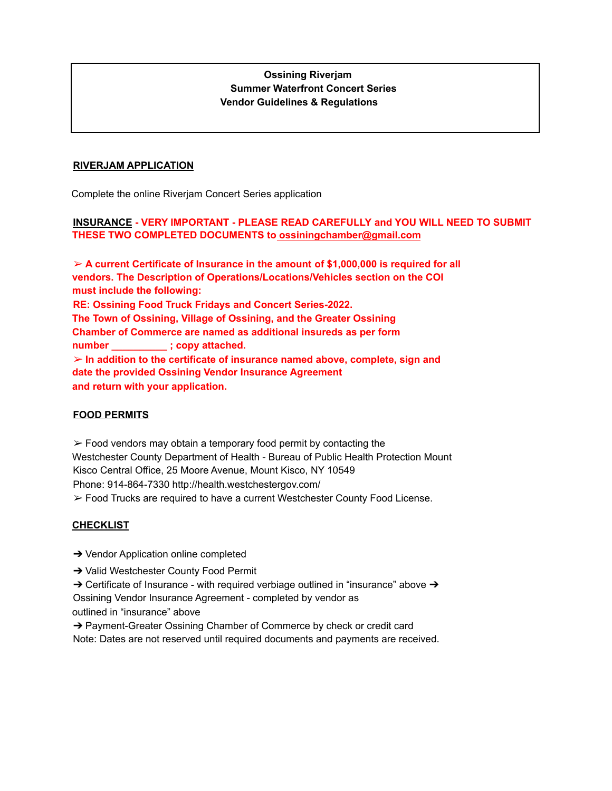## **Ossining Riverjam Summer Waterfront Concert Series Vendor Guidelines & Regulations**

#### **RIVERJAM APPLICATION**

Complete the online Riverjam Concert Series application

## **INSURANCE - VERY IMPORTANT - PLEASE READ CAREFULLY and YOU WILL NEED TO SUBMIT THESE TWO COMPLETED DOCUMENTS to ossiningchamber@gmail.com**

➢ **A current Certificate of Insurance in the amount of \$1,000,000 is required for all vendors. The Description of Operations/Locations/Vehicles section on the COI must include the following: RE: Ossining Food Truck Fridays and Concert Series-2022. The Town of Ossining, Village of Ossining, and the Greater Ossining Chamber of Commerce are named as additional insureds as per form number \_\_\_\_\_\_\_\_\_\_ ; copy attached.** ➢ **In addition to the certificate of insurance named above, complete, sign and date the provided Ossining Vendor Insurance Agreement and return with your application.**

### **FOOD PERMITS**

 $\triangleright$  Food vendors may obtain a temporary food permit by contacting the Westchester County Department of Health - Bureau of Public Health Protection Mount Kisco Central Office, 25 Moore Avenue, Mount Kisco, NY 10549 Phone: 914-864-7330 http://health.westchestergov.com/ ➢ Food Trucks are required to have a current Westchester County Food License.

### **CHECKLIST**

- ➔ Vendor Application online completed
- ➔ Valid Westchester County Food Permit
- $\rightarrow$  Certificate of Insurance with required verbiage outlined in "insurance" above  $\rightarrow$ Ossining Vendor Insurance Agreement - completed by vendor as outlined in "insurance" above

→ Payment-Greater Ossining Chamber of Commerce by check or credit card Note: Dates are not reserved until required documents and payments are received.